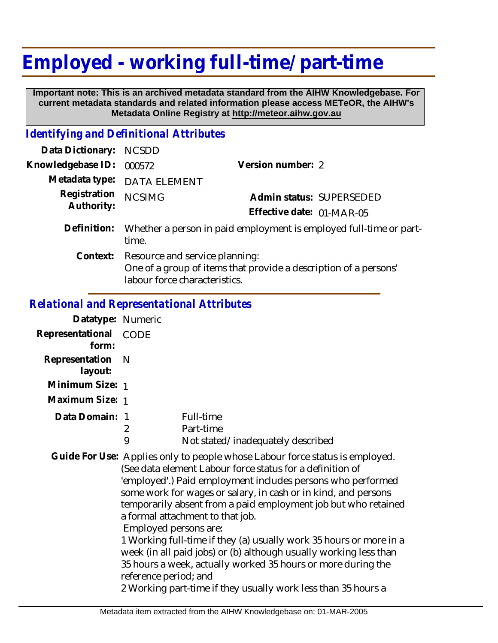## **Employed - working full-time/ part-time**

 **Important note: This is an archived metadata standard from the AIHW Knowledgebase. For current metadata standards and related information please access METeOR, the AIHW's Metadata Online Registry at http://meteor.aihw.gov.au**

## *Identifying and Definitional Attributes*

| Data Dictionary:           | <b>NCSDD</b>                                                                                                                        |                                                       |
|----------------------------|-------------------------------------------------------------------------------------------------------------------------------------|-------------------------------------------------------|
| Knowledgebase ID:          | 000572                                                                                                                              | Version number: 2                                     |
|                            | Metadata type: DATA ELEMENT                                                                                                         |                                                       |
| Registration<br>Authority: | <b>NCSIMG</b>                                                                                                                       | Admin status: SUPERSEDED<br>Effective date: 01-MAR-05 |
| Definition:                | Whether a person in paid employment is employed full-time or part-<br>time.                                                         |                                                       |
| Context:                   | Resource and service planning:<br>One of a group of items that provide a description of a persons'<br>labour force characteristics. |                                                       |

## *Relational and Representational Attributes*

| Datatype: Numeric              |                       |                                                                                                                                                                                                                                                                                                                                                                                                                                                        |
|--------------------------------|-----------------------|--------------------------------------------------------------------------------------------------------------------------------------------------------------------------------------------------------------------------------------------------------------------------------------------------------------------------------------------------------------------------------------------------------------------------------------------------------|
| Representational CODE<br>form: |                       |                                                                                                                                                                                                                                                                                                                                                                                                                                                        |
| Representation<br>layout:      | - N                   |                                                                                                                                                                                                                                                                                                                                                                                                                                                        |
| Minimum Size: 1                |                       |                                                                                                                                                                                                                                                                                                                                                                                                                                                        |
| Maximum Size: 1                |                       |                                                                                                                                                                                                                                                                                                                                                                                                                                                        |
| Data Domain: 1                 | 2<br>9                | Full-time<br>Part-time<br>Not stated/inadequately described                                                                                                                                                                                                                                                                                                                                                                                            |
|                                | Employed persons are: | Guide For Use: Applies only to people whose Labour force status is employed.<br>(See data element Labour force status for a definition of<br>'employed'.) Paid employment includes persons who performed<br>some work for wages or salary, in cash or in kind, and persons<br>temporarily absent from a paid employment job but who retained<br>a formal attachment to that job.<br>1 Working full-time if they (a) usually work 35 hours or more in a |

1 Working full-time if they (a) usually work 35 hours or more in a week (in all paid jobs) or (b) although usually working less than 35 hours a week, actually worked 35 hours or more during the reference period; and

2 Working part-time if they usually work less than 35 hours a